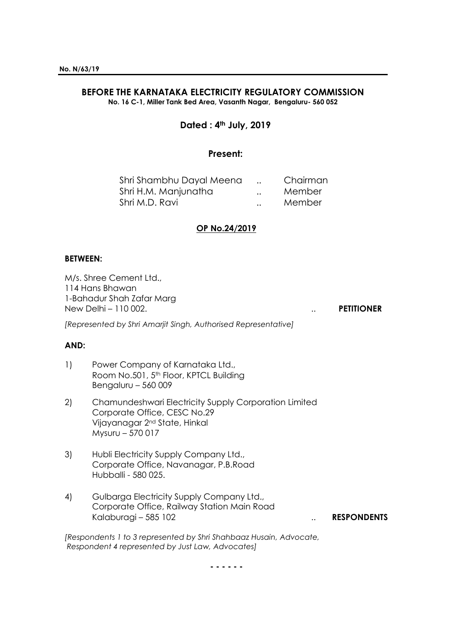# **BEFORE THE KARNATAKA ELECTRICITY REGULATORY COMMISSION**

**No. 16 C-1, Miller Tank Bed Area, Vasanth Nagar, Bengaluru- 560 052**

# **Dated : 4th July, 2019**

## **Present:**

| Shri Shambhu Dayal Meena |                      | Chairman |
|--------------------------|----------------------|----------|
| Shri H.M. Manjunatha     | $\ddot{\phantom{a}}$ | Member   |
| Shri M.D. Ravi           | $\ddot{\phantom{a}}$ | Member   |

## **OP No.24/2019**

#### **BETWEEN:**

M/s. Shree Cement Ltd., 114 Hans Bhawan 1-Bahadur Shah Zafar Marg New Delhi – 110 002. .. **PETITIONER**

*[Represented by Shri Amarjit Singh, Authorised Representative]*

## **AND:**

- 1) Power Company of Karnataka Ltd., Room No.501, 5<sup>th</sup> Floor, KPTCL Building Bengaluru – 560 009
- 2) Chamundeshwari Electricity Supply Corporation Limited Corporate Office, CESC No.29 Vijayanagar 2nd State, Hinkal Mysuru – 570 017
- 3) Hubli Electricity Supply Company Ltd., Corporate Office, Navanagar, P.B.Road Hubballi - 580 025.
- 4) Gulbarga Electricity Supply Company Ltd., Corporate Office, Railway Station Main Road Kalaburagi – 585 102 .. **RESPONDENTS**

*[Respondents 1 to 3 represented by Shri Shahbaaz Husain, Advocate, Respondent 4 represented by Just Law, Advocates]*

**- - - - - -**